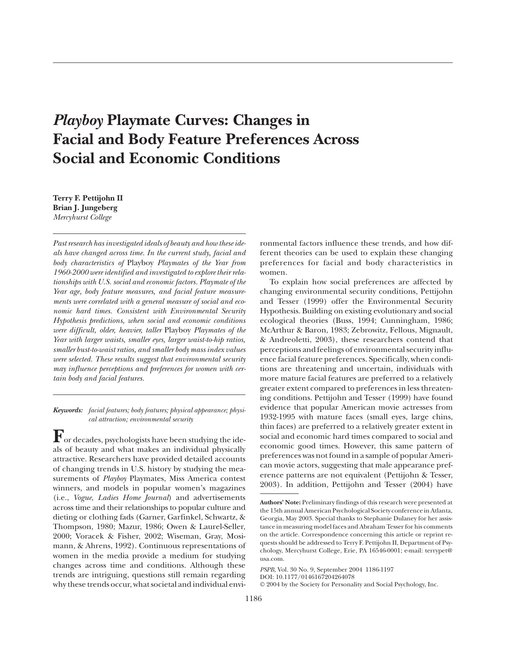# *Playboy* **Playmate Curves: Changes in Facial and Body Feature Preferences Across Social and Economic Conditions**

**Terry F. Pettijohn II Brian J. Jungeberg** *Mercyhurst College*

*Past research has investigated ideals of beauty and how these ideals have changed across time. In the current study, facial and body characteristics of* Playboy *Playmates of the Year from 1960-2000 were identified and investigated to explore their relationships with U.S. social and economic factors. Playmate of the Year age, body feature measures, and facial feature measurements were correlated with a general measure of social and economic hard times. Consistent with Environmental Security Hypothesis predictions, when social and economic conditions were difficult, older, heavier, taller* Playboy *Playmates of the Year with larger waists, smaller eyes, larger waist-to-hip ratios, smaller bust-to-waist ratios, and smaller body mass index values were selected. These results suggest that environmental security may influence perceptions and preferences for women with certain body and facial features.*

*Keywords: facial features; body features; physical appearance; physical attraction; environmental security*

 $\mathbf{F}_{\text{or decades, psychology} }$  bave been studying the ideals of beauty and what makes an individual physically attractive. Researchers have provided detailed accounts of changing trends in U.S. history by studying the measurements of *Playboy* Playmates, Miss America contest winners, and models in popular women's magazines (i.e., *Vogue*, *Ladies Home Journal*) and advertisements across time and their relationships to popular culture and dieting or clothing fads (Garner, Garfinkel, Schwartz, & Thompson, 1980; Mazur, 1986; Owen & Laurel-Seller, 2000; Voracek & Fisher, 2002; Wiseman, Gray, Mosimann, & Ahrens, 1992). Continuous representations of women in the media provide a medium for studying changes across time and conditions. Although these trends are intriguing, questions still remain regarding why these trends occur, what societal and individual environmental factors influence these trends, and how different theories can be used to explain these changing preferences for facial and body characteristics in women.

To explain how social preferences are affected by changing environmental security conditions, Pettijohn and Tesser (1999) offer the Environmental Security Hypothesis. Building on existing evolutionary and social ecological theories (Buss, 1994; Cunningham, 1986; McArthur & Baron, 1983; Zebrowitz, Fellous, Mignault, & Andreoletti, 2003), these researchers contend that perceptions and feelings of environmental security influence facial feature preferences. Specifically, when conditions are threatening and uncertain, individuals with more mature facial features are preferred to a relatively greater extent compared to preferences in less threatening conditions. Pettijohn and Tesser (1999) have found evidence that popular American movie actresses from 1932-1995 with mature faces (small eyes, large chins, thin faces) are preferred to a relatively greater extent in social and economic hard times compared to social and economic good times. However, this same pattern of preferences was not found in a sample of popular American movie actors, suggesting that male appearance preference patterns are not equivalent (Pettijohn & Tesser, 2003). In addition, Pettijohn and Tesser (2004) have

*PSPB,* Vol. 30 No. 9, September 2004 1186-1197

DOI: 10.1177/0146167204264078

**Authors' Note:** Preliminary findings of this research were presented at the 15th annual American Psychological Society conference in Atlanta, Georgia, May 2003. Special thanks to Stephanie Dulaney for her assistance in measuring model faces and Abraham Tesser for his comments on the article. Correspondence concerning this article or reprint requests should be addressed to Terry F. Pettijohn II, Department of Psychology, Mercyhurst College, Erie, PA 16546-0001; e-mail: terrypet@ usa.com.

<sup>© 2004</sup> by the Society for Personality and Social Psychology, Inc.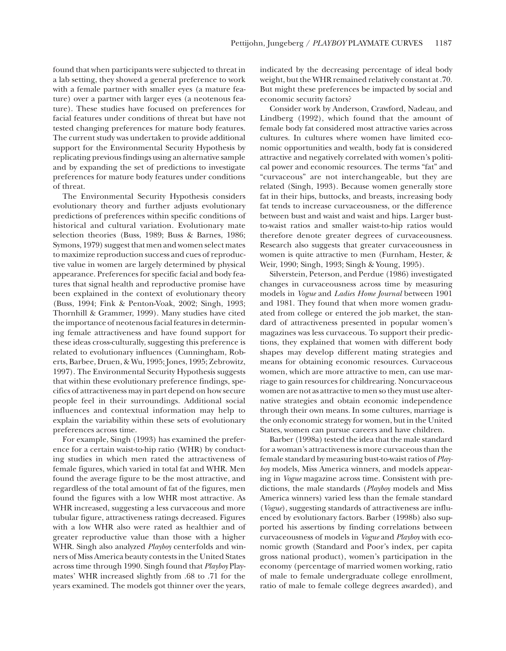found that when participants were subjected to threat in a lab setting, they showed a general preference to work with a female partner with smaller eyes (a mature feature) over a partner with larger eyes (a neotenous feature). These studies have focused on preferences for facial features under conditions of threat but have not tested changing preferences for mature body features. The current study was undertaken to provide additional support for the Environmental Security Hypothesis by replicating previous findings using an alternative sample and by expanding the set of predictions to investigate preferences for mature body features under conditions of threat.

The Environmental Security Hypothesis considers evolutionary theory and further adjusts evolutionary predictions of preferences within specific conditions of historical and cultural variation. Evolutionary mate selection theories (Buss, 1989; Buss & Barnes, 1986; Symons, 1979) suggest that men and women select mates to maximize reproduction success and cues of reproductive value in women are largely determined by physical appearance. Preferences for specific facial and body features that signal health and reproductive promise have been explained in the context of evolutionary theory (Buss, 1994; Fink & Penton-Voak, 2002; Singh, 1993; Thornhill & Grammer, 1999). Many studies have cited the importance of neotenous facial features in determining female attractiveness and have found support for these ideas cross-culturally, suggesting this preference is related to evolutionary influences (Cunningham, Roberts, Barbee, Druen, & Wu, 1995; Jones, 1995; Zebrowitz, 1997). The Environmental Security Hypothesis suggests that within these evolutionary preference findings, specifics of attractiveness may in part depend on how secure people feel in their surroundings. Additional social influences and contextual information may help to explain the variability within these sets of evolutionary preferences across time.

For example, Singh (1993) has examined the preference for a certain waist-to-hip ratio (WHR) by conducting studies in which men rated the attractiveness of female figures, which varied in total fat and WHR. Men found the average figure to be the most attractive, and regardless of the total amount of fat of the figures, men found the figures with a low WHR most attractive. As WHR increased, suggesting a less curvaceous and more tubular figure, attractiveness ratings decreased. Figures with a low WHR also were rated as healthier and of greater reproductive value than those with a higher WHR. Singh also analyzed *Playboy* centerfolds and winners of Miss America beauty contests in the United States across time through 1990. Singh found that *Playboy* Playmates' WHR increased slightly from .68 to .71 for the years examined. The models got thinner over the years, indicated by the decreasing percentage of ideal body weight, but the WHR remained relatively constant at .70. But might these preferences be impacted by social and economic security factors?

Consider work by Anderson, Crawford, Nadeau, and Lindberg (1992), which found that the amount of female body fat considered most attractive varies across cultures. In cultures where women have limited economic opportunities and wealth, body fat is considered attractive and negatively correlated with women's political power and economic resources. The terms "fat" and "curvaceous" are not interchangeable, but they are related (Singh, 1993). Because women generally store fat in their hips, buttocks, and breasts, increasing body fat tends to increase curvaceousness, or the difference between bust and waist and waist and hips. Larger bustto-waist ratios and smaller waist-to-hip ratios would therefore denote greater degrees of curvaceousness. Research also suggests that greater curvaceousness in women is quite attractive to men (Furnham, Hester, & Weir, 1990; Singh, 1993; Singh & Young, 1995).

Silverstein, Peterson, and Perdue (1986) investigated changes in curvaceousness across time by measuring models in *Vogue* and *Ladies Home Journal* between 1901 and 1981. They found that when more women graduated from college or entered the job market, the standard of attractiveness presented in popular women's magazines was less curvaceous. To support their predictions, they explained that women with different body shapes may develop different mating strategies and means for obtaining economic resources. Curvaceous women, which are more attractive to men, can use marriage to gain resources for childrearing. Noncurvaceous women are not as attractive to men so they must use alternative strategies and obtain economic independence through their own means. In some cultures, marriage is the only economic strategy for women, but in the United States, women can pursue careers and have children.

Barber (1998a) tested the idea that the male standard for a woman's attractiveness is more curvaceous than the female standard by measuring bust-to-waist ratios of *Playboy* models, Miss America winners, and models appearing in *Vogue* magazine across time. Consistent with predictions, the male standards (*Playboy* models and Miss America winners) varied less than the female standard (*Vogue*), suggesting standards of attractiveness are influenced by evolutionary factors. Barber (1998b) also supported his assertions by finding correlations between curvaceousness of models in *Vogue* and *Playboy* with economic growth (Standard and Poor's index, per capita gross national product), women's participation in the economy (percentage of married women working, ratio of male to female undergraduate college enrollment, ratio of male to female college degrees awarded), and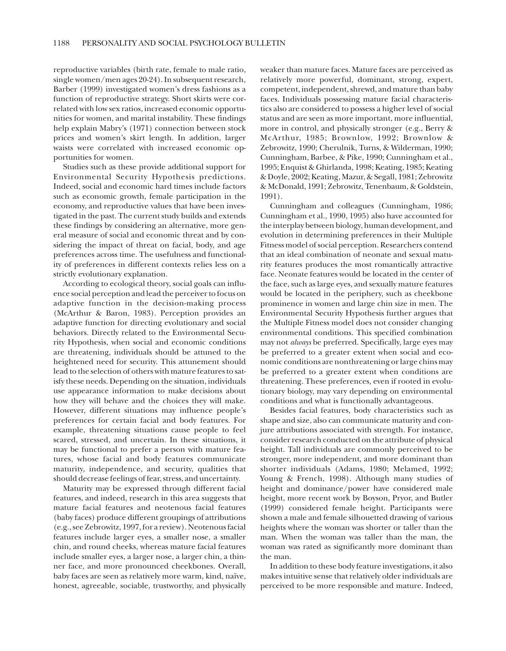reproductive variables (birth rate, female to male ratio, single women/men ages 20-24). In subsequent research, Barber (1999) investigated women's dress fashions as a function of reproductive strategy. Short skirts were correlated with low sex ratios, increased economic opportunities for women, and marital instability. These findings help explain Mabry's (1971) connection between stock prices and women's skirt length. In addition, larger waists were correlated with increased economic opportunities for women.

Studies such as these provide additional support for Environmental Security Hypothesis predictions. Indeed, social and economic hard times include factors such as economic growth, female participation in the economy, and reproductive values that have been investigated in the past. The current study builds and extends these findings by considering an alternative, more general measure of social and economic threat and by considering the impact of threat on facial, body, and age preferences across time. The usefulness and functionality of preferences in different contexts relies less on a strictly evolutionary explanation.

According to ecological theory, social goals can influence social perception and lead the perceiver to focus on adaptive function in the decision-making process (McArthur & Baron, 1983). Perception provides an adaptive function for directing evolutionary and social behaviors. Directly related to the Environmental Security Hypothesis, when social and economic conditions are threatening, individuals should be attuned to the heightened need for security. This attunement should lead to the selection of others with mature features to satisfy these needs. Depending on the situation, individuals use appearance information to make decisions about how they will behave and the choices they will make. However, different situations may influence people's preferences for certain facial and body features. For example, threatening situations cause people to feel scared, stressed, and uncertain. In these situations, it may be functional to prefer a person with mature features, whose facial and body features communicate maturity, independence, and security, qualities that should decrease feelings of fear, stress, and uncertainty.

Maturity may be expressed through different facial features, and indeed, research in this area suggests that mature facial features and neotenous facial features (baby faces) produce different groupings of attributions (e.g., see Zebrowitz, 1997, for a review). Neotenous facial features include larger eyes, a smaller nose, a smaller chin, and round cheeks, whereas mature facial features include smaller eyes, a larger nose, a larger chin, a thinner face, and more pronounced cheekbones. Overall, baby faces are seen as relatively more warm, kind, naïve, honest, agreeable, sociable, trustworthy, and physically weaker than mature faces. Mature faces are perceived as relatively more powerful, dominant, strong, expert, competent, independent, shrewd, and mature than baby faces. Individuals possessing mature facial characteristics also are considered to possess a higher level of social status and are seen as more important, more influential, more in control, and physically stronger (e.g., Berry & McArthur, 1985; Brownlow, 1992; Brownlow & Zebrowitz, 1990; Cherulnik, Turns, & Wilderman, 1990; Cunningham, Barbee, & Pike, 1990; Cunningham et al., 1995; Enquist & Ghirlanda, 1998; Keating, 1985; Keating & Doyle, 2002; Keating, Mazur, & Segall, 1981; Zebrowitz & McDonald, 1991; Zebrowitz, Tenenbaum, & Goldstein, 1991).

Cunningham and colleagues (Cunningham, 1986; Cunningham et al., 1990, 1995) also have accounted for the interplay between biology, human development, and evolution in determining preferences in their Multiple Fitness model of social perception. Researchers contend that an ideal combination of neonate and sexual maturity features produces the most romantically attractive face. Neonate features would be located in the center of the face, such as large eyes, and sexually mature features would be located in the periphery, such as cheekbone prominence in women and large chin size in men. The Environmental Security Hypothesis further argues that the Multiple Fitness model does not consider changing environmental conditions. This specified combination may not *always* be preferred. Specifically, large eyes may be preferred to a greater extent when social and economic conditions are nonthreatening or large chins may be preferred to a greater extent when conditions are threatening. These preferences, even if rooted in evolutionary biology, may vary depending on environmental conditions and what is functionally advantageous.

Besides facial features, body characteristics such as shape and size, also can communicate maturity and conjure attributions associated with strength. For instance, consider research conducted on the attribute of physical height. Tall individuals are commonly perceived to be stronger, more independent, and more dominant than shorter individuals (Adams, 1980; Melamed, 1992; Young & French, 1998). Although many studies of height and dominance/power have considered male height, more recent work by Boyson, Pryor, and Butler (1999) considered female height. Participants were shown a male and female silhouetted drawing of various heights where the woman was shorter or taller than the man. When the woman was taller than the man, the woman was rated as significantly more dominant than the man.

In addition to these body feature investigations, it also makes intuitive sense that relatively older individuals are perceived to be more responsible and mature. Indeed,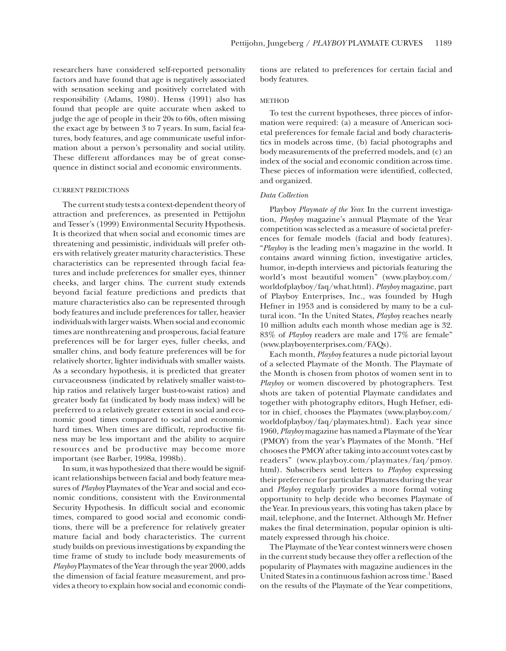researchers have considered self-reported personality factors and have found that age is negatively associated with sensation seeking and positively correlated with responsibility (Adams, 1980). Henss (1991) also has found that people are quite accurate when asked to judge the age of people in their 20s to 60s, often missing the exact age by between 3 to 7 years. In sum, facial features, body features, and age communicate useful information about a person's personality and social utility. These different affordances may be of great consequence in distinct social and economic environments.

## CURRENT PREDICTIONS

The current study tests a context-dependent theory of attraction and preferences, as presented in Pettijohn and Tesser's (1999) Environmental Security Hypothesis. It is theorized that when social and economic times are threatening and pessimistic, individuals will prefer others with relatively greater maturity characteristics. These characteristics can be represented through facial features and include preferences for smaller eyes, thinner cheeks, and larger chins. The current study extends beyond facial feature predictions and predicts that mature characteristics also can be represented through body features and include preferences for taller, heavier individuals with larger waists. When social and economic times are nonthreatening and prosperous, facial feature preferences will be for larger eyes, fuller cheeks, and smaller chins, and body feature preferences will be for relatively shorter, lighter individuals with smaller waists. As a secondary hypothesis, it is predicted that greater curvaceousness (indicated by relatively smaller waist-tohip ratios and relatively larger bust-to-waist ratios) and greater body fat (indicated by body mass index) will be preferred to a relatively greater extent in social and economic good times compared to social and economic hard times. When times are difficult, reproductive fitness may be less important and the ability to acquire resources and be productive may become more important (see Barber, 1998a, 1998b).

In sum, it was hypothesized that there would be significant relationships between facial and body feature measures of *Playboy* Playmates of the Year and social and economic conditions, consistent with the Environmental Security Hypothesis. In difficult social and economic times, compared to good social and economic conditions, there will be a preference for relatively greater mature facial and body characteristics. The current study builds on previous investigations by expanding the time frame of study to include body measurements of *Playboy* Playmates of the Year through the year 2000, adds the dimension of facial feature measurement, and provides a theory to explain how social and economic conditions are related to preferences for certain facial and body features.

## METHOD

To test the current hypotheses, three pieces of information were required: (a) a measure of American societal preferences for female facial and body characteristics in models across time, (b) facial photographs and body measurements of the preferred models, and (c) an index of the social and economic condition across time. These pieces of information were identified, collected, and organized.

## *Data Collection*

Playboy *Playmate of the Year*. In the current investigation, *Playboy* magazine's annual Playmate of the Year competition was selected as a measure of societal preferences for female models (facial and body features). "*Playboy* is the leading men's magazine in the world. It contains award winning fiction, investigative articles, humor, in-depth interviews and pictorials featuring the world's most beautiful women" (www.playboy.com/ worldofplayboy/faq/what.html). *Playboy* magazine, part of Playboy Enterprises, Inc., was founded by Hugh Hefner in 1953 and is considered by many to be a cultural icon. "In the United States, *Playboy* reaches nearly 10 million adults each month whose median age is 32. 83% of *Playboy* readers are male and 17% are female" (www.playboyenterprises.com/FAQs).

Each month, *Playboy* features a nude pictorial layout of a selected Playmate of the Month. The Playmate of the Month is chosen from photos of women sent in to *Playboy* or women discovered by photographers. Test shots are taken of potential Playmate candidates and together with photography editors, Hugh Hefner, editor in chief, chooses the Playmates (www.playboy.com/ worldofplayboy/faq/playmates.html). Each year since 1960, *Playboy* magazine has named a Playmate of the Year (PMOY) from the year's Playmates of the Month. "Hef chooses the PMOY after taking into account votes cast by readers" (www.playboy.com/playmates/faq/pmoy. html). Subscribers send letters to *Playboy* expressing their preference for particular Playmates during the year and *Playboy* regularly provides a more formal voting opportunity to help decide who becomes Playmate of the Year. In previous years, this voting has taken place by mail, telephone, and the Internet. Although Mr. Hefner makes the final determination, popular opinion is ultimately expressed through his choice.

The Playmate of the Year contest winners were chosen in the current study because they offer a reflection of the popularity of Playmates with magazine audiences in the United States in a continuous fashion across time.<sup>1</sup> Based on the results of the Playmate of the Year competitions,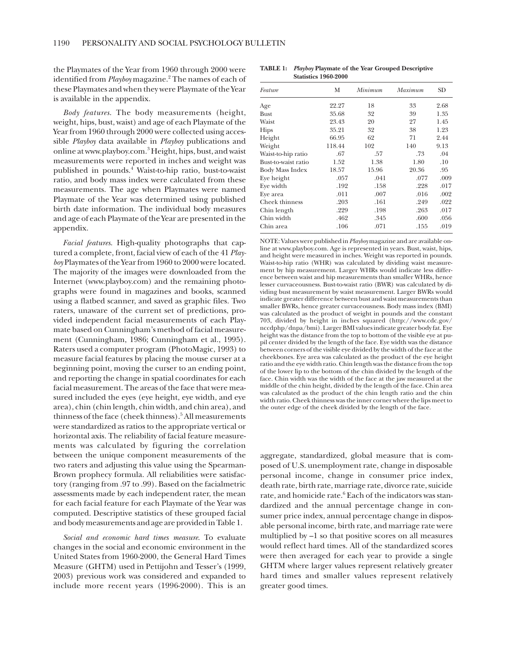the Playmates of the Year from 1960 through 2000 were identified from *Playboy* magazine.<sup>2</sup> The names of each of these Playmates and when they were Playmate of the Year is available in the appendix.

*Body features*. The body measurements (height, weight, hips, bust, waist) and age of each Playmate of the Year from 1960 through 2000 were collected using accessible *Playboy* data available in *Playboy* publications and online at www.playboy.com.<sup>3</sup> Height, hips, bust, and waist measurements were reported in inches and weight was published in pounds.<sup>4</sup> Waist-to-hip ratio, bust-to-waist ratio, and body mass index were calculated from these measurements. The age when Playmates were named Playmate of the Year was determined using published birth date information. The individual body measures and age of each Playmate of the Year are presented in the appendix.

*Facial features*. High-quality photographs that captured a complete, front, facial view of each of the 41 *Playboy* Playmates of the Year from 1960 to 2000 were located. The majority of the images were downloaded from the Internet (www.playboy.com) and the remaining photographs were found in magazines and books, scanned using a flatbed scanner, and saved as graphic files. Two raters, unaware of the current set of predictions, provided independent facial measurements of each Playmate based on Cunningham's method of facial measurement (Cunningham, 1986; Cunningham et al., 1995). Raters used a computer program (PhotoMagic, 1993) to measure facial features by placing the mouse curser at a beginning point, moving the curser to an ending point, and reporting the change in spatial coordinates for each facial measurement. The areas of the face that were measured included the eyes (eye height, eye width, and eye area), chin (chin length, chin width, and chin area), and thinness of the face (cheek thinness).<sup>5</sup> All measurements were standardized as ratios to the appropriate vertical or horizontal axis. The reliability of facial feature measurements was calculated by figuring the correlation between the unique component measurements of the two raters and adjusting this value using the Spearman-Brown prophecy formula. All reliabilities were satisfactory (ranging from .97 to .99). Based on the facialmetric assessments made by each independent rater, the mean for each facial feature for each Playmate of the Year was computed. Descriptive statistics of these grouped facial and body measurements and age are provided in Table 1.

*Social and economic hard times measure*. To evaluate changes in the social and economic environment in the United States from 1960-2000, the General Hard Times Measure (GHTM) used in Pettijohn and Tesser's (1999, 2003) previous work was considered and expanded to include more recent years (1996-2000). This is an

**TABLE 1:** *Playboy* **Playmate of the Year Grouped Descriptive Statistics 1960-2000**

| Feature                | М      | Minimum | Maximum | <b>SD</b> |
|------------------------|--------|---------|---------|-----------|
| Age                    | 22.27  | 18      | 33      | 2.68      |
| <b>Bust</b>            | 35.68  | 32      | 39      | 1.35      |
| Waist                  | 23.43  | 20      | 27      | 1.45      |
| <b>Hips</b>            | 35.21  | 32      | 38      | 1.23      |
| Height                 | 66.95  | 62      | 71      | 2.44      |
| Weight                 | 118.44 | 102     | 140     | 9.13      |
| Waist-to-hip ratio     | .67    | .57     | .73     | .04       |
| Bust-to-waist ratio    | 1.52   | 1.38    | 1.80    | .10       |
| <b>Body Mass Index</b> | 18.57  | 15.96   | 20.36   | .95       |
| Eye height             | .057   | .041    | .077    | .009      |
| Eye width              | .192   | .158    | .228    | .017      |
| Eye area               | .011   | .007    | .016    | .002      |
| Cheek thinness         | .203   | .161    | .249    | .022      |
| Chin length            | .229   | .198    | .263    | .017      |
| Chin width             | .462   | .345    | .600    | .056      |
| Chin area              | .106   | .071    | .155    | .019      |

NOTE: Values were published in *Playboy* magazine and are available online at www.playboy.com. Age is represented in years. Bust, waist, hips, and height were measured in inches. Weight was reported in pounds. Waist-to-hip ratio (WHR) was calculated by dividing waist measurement by hip measurement. Larger WHRs would indicate less difference between waist and hip measurements than smaller WHRs, hence lesser curvaceousness. Bust-to-waist ratio (BWR) was calculated by dividing bust measurement by waist measurement. Larger BWRs would indicate greater difference between bust and waist measurements than smaller BWRs, hence greater curvaceousness. Body mass index (BMI) was calculated as the product of weight in pounds and the constant 703, divided by height in inches squared (http://www.cdc.gov/ nccdphp/dnpa/bmi). Larger BMI values indicate greater body fat. Eye height was the distance from the top to bottom of the visible eye at pupil center divided by the length of the face. Eye width was the distance between corners of the visible eye divided by the width of the face at the cheekbones. Eye area was calculated as the product of the eye height ratio and the eye width ratio. Chin length was the distance from the top of the lower lip to the bottom of the chin divided by the length of the face. Chin width was the width of the face at the jaw measured at the middle of the chin height, divided by the length of the face. Chin area was calculated as the product of the chin length ratio and the chin width ratio. Cheek thinness was the inner corner where the lips meet to the outer edge of the cheek divided by the length of the face.

aggregate, standardized, global measure that is composed of U.S. unemployment rate, change in disposable personal income, change in consumer price index, death rate, birth rate, marriage rate, divorce rate, suicide rate, and homicide rate.<sup>6</sup> Each of the indicators was standardized and the annual percentage change in consumer price index, annual percentage change in disposable personal income, birth rate, and marriage rate were multiplied by –1 so that positive scores on all measures would reflect hard times. All of the standardized scores were then averaged for each year to provide a single GHTM where larger values represent relatively greater hard times and smaller values represent relatively greater good times.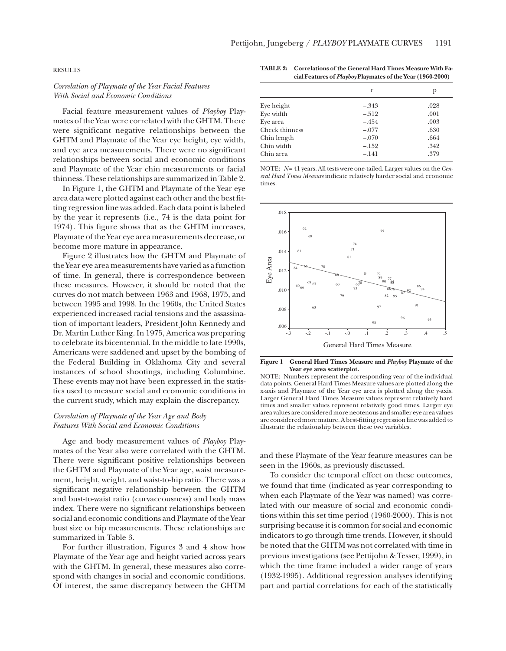#### RESULTS

# *Correlation of Playmate of the Year Facial Features With Social and Economic Conditions*

Facial feature measurement values of *Playboy* Playmates of the Year were correlated with the GHTM. There were significant negative relationships between the GHTM and Playmate of the Year eye height, eye width, and eye area measurements. There were no significant relationships between social and economic conditions and Playmate of the Year chin measurements or facial thinness. These relationships are summarized in Table 2.

In Figure 1, the GHTM and Playmate of the Year eye area data were plotted against each other and the best fitting regression line was added. Each data point is labeled by the year it represents (i.e., 74 is the data point for 1974). This figure shows that as the GHTM increases, Playmate of the Year eye area measurements decrease, or become more mature in appearance.

Figure 2 illustrates how the GHTM and Playmate of the Year eye area measurements have varied as a function of time. In general, there is correspondence between these measures. However, it should be noted that the curves do not match between 1963 and 1968, 1975, and between 1995 and 1998. In the 1960s, the United States experienced increased racial tensions and the assassination of important leaders, President John Kennedy and Dr. Martin Luther King. In 1975, America was preparing to celebrate its bicentennial. In the middle to late 1990s, Americans were saddened and upset by the bombing of the Federal Building in Oklahoma City and several instances of school shootings, including Columbine. These events may not have been expressed in the statistics used to measure social and economic conditions in the current study, which may explain the discrepancy.

# *Correlation of Playmate of the Year Age and Body Features With Social and Economic Conditions*

Age and body measurement values of *Playboy* Playmates of the Year also were correlated with the GHTM. There were significant positive relationships between the GHTM and Playmate of the Year age, waist measurement, height, weight, and waist-to-hip ratio. There was a significant negative relationship between the GHTM and bust-to-waist ratio (curvaceousness) and body mass index. There were no significant relationships between social and economic conditions and Playmate of the Year bust size or hip measurements. These relationships are summarized in Table 3.

For further illustration, Figures 3 and 4 show how Playmate of the Year age and height varied across years with the GHTM. In general, these measures also correspond with changes in social and economic conditions. Of interest, the same discrepancy between the GHTM

**TABLE 2: Correlations of the General Hard Times Measure With Facial Features of** *Playboy* **Playmates of the Year (1960-2000)**

|                | r       | р    |
|----------------|---------|------|
| Eye height     | $-.343$ | .028 |
| Eye width      | $-.512$ | .001 |
| Eye area       | $-.454$ | .003 |
| Cheek thinness | $-.077$ | .630 |
| Chin length    | $-.070$ | .664 |
| Chin width     | $-.152$ | .342 |
| Chin area      | $-.141$ | .379 |
|                |         |      |

NOTE: *N* = 41 years. All tests were one-tailed. Larger values on the *General Hard Times Measure* indicate relatively harder social and economic times.



**Figure 1 General Hard Times Measure and** *Playboy* **Playmate of the Year eye area scatterplot.**

NOTE: Numbers represent the corresponding year of the individual data points. General Hard Times Measure values are plotted along the x-axis and Playmate of the Year eye area is plotted along the y-axis. Larger General Hard Times Measure values represent relatively hard times and smaller values represent relatively good times. Larger eye area values are considered more neotenous and smaller eye area values are considered more mature. A best-fitting regression line was added to illustrate the relationship between these two variables.

and these Playmate of the Year feature measures can be seen in the 1960s, as previously discussed.

To consider the temporal effect on these outcomes, we found that time (indicated as year corresponding to when each Playmate of the Year was named) was correlated with our measure of social and economic conditions within this set time period (1960-2000). This is not surprising because it is common for social and economic indicators to go through time trends. However, it should be noted that the GHTM was not correlated with time in previous investigations (see Pettijohn & Tesser, 1999), in which the time frame included a wider range of years (1932-1995). Additional regression analyses identifying part and partial correlations for each of the statistically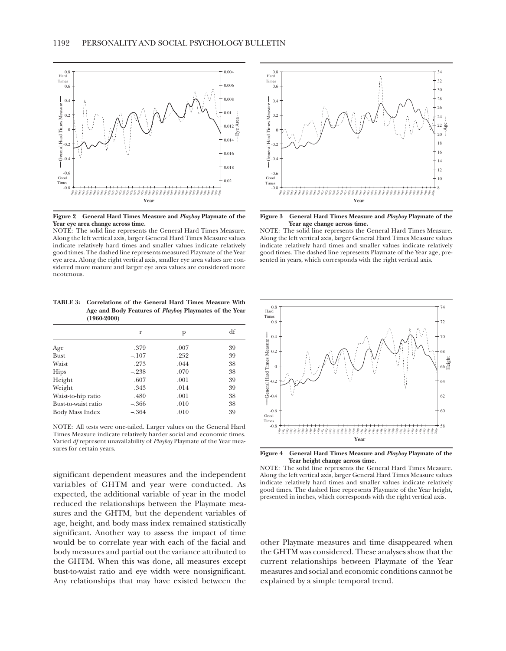

**Figure 2 General Hard Times Measure and** *Playboy* **Playmate of the Year eye area change across time.**

NOTE: The solid line represents the General Hard Times Measure. Along the left vertical axis, larger General Hard Times Measure values indicate relatively hard times and smaller values indicate relatively good times. The dashed line represents measured Playmate of the Year eye area. Along the right vertical axis, smaller eye area values are considered more mature and larger eye area values are considered more neotenous.

**TABLE 3: Correlations of the General Hard Times Measure With Age and Body Features of** *Playboy* **Playmates of the Year (1960-2000)**

|                     | r       | р    | df |
|---------------------|---------|------|----|
| Age                 | .379    | .007 | 39 |
| <b>Bust</b>         | $-.107$ | .252 | 39 |
| Waist               | .273    | .044 | 38 |
| <b>Hips</b>         | $-.238$ | .070 | 38 |
| Height              | .607    | .001 | 39 |
| Weight              | .343    | .014 | 39 |
| Waist-to-hip ratio  | .480    | .001 | 38 |
| Bust-to-waist ratio | $-.366$ | .010 | 38 |
| Body Mass Index     | $-.364$ | .010 | 39 |
|                     |         |      |    |

NOTE: All tests were one-tailed. Larger values on the General Hard Times Measure indicate relatively harder social and economic times. Varied *df* represent unavailability of *Playboy* Playmate of the Year measures for certain years.

significant dependent measures and the independent variables of GHTM and year were conducted. As expected, the additional variable of year in the model reduced the relationships between the Playmate measures and the GHTM, but the dependent variables of age, height, and body mass index remained statistically significant. Another way to assess the impact of time would be to correlate year with each of the facial and body measures and partial out the variance attributed to the GHTM. When this was done, all measures except bust-to-waist ratio and eye width were nonsignificant. Any relationships that may have existed between the



**Figure 3 General Hard Times Measure and** *Playboy* **Playmate of the Year age change across time.**

NOTE: The solid line represents the General Hard Times Measure. Along the left vertical axis, larger General Hard Times Measure values indicate relatively hard times and smaller values indicate relatively good times. The dashed line represents Playmate of the Year age, presented in years, which corresponds with the right vertical axis.



**Figure 4 General Hard Times Measure and** *Playboy* **Playmate of the Year height change across time.**

NOTE: The solid line represents the General Hard Times Measure. Along the left vertical axis, larger General Hard Times Measure values indicate relatively hard times and smaller values indicate relatively good times. The dashed line represents Playmate of the Year height, presented in inches, which corresponds with the right vertical axis.

other Playmate measures and time disappeared when the GHTM was considered. These analyses show that the current relationships between Playmate of the Year measures and social and economic conditions cannot be explained by a simple temporal trend.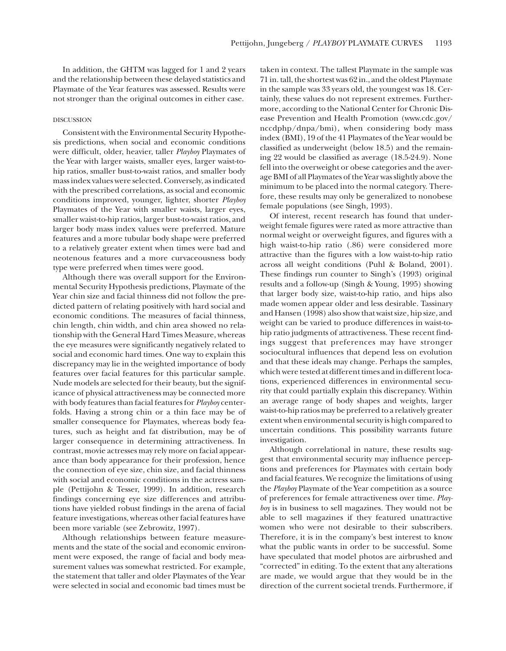In addition, the GHTM was lagged for 1 and 2 years and the relationship between these delayed statistics and Playmate of the Year features was assessed. Results were not stronger than the original outcomes in either case.

## DISCUSSION

Consistent with the Environmental Security Hypothesis predictions, when social and economic conditions were difficult, older, heavier, taller *Playboy* Playmates of the Year with larger waists, smaller eyes, larger waist-tohip ratios, smaller bust-to-waist ratios, and smaller body mass index values were selected. Conversely, as indicated with the prescribed correlations, as social and economic conditions improved, younger, lighter, shorter *Playboy* Playmates of the Year with smaller waists, larger eyes, smaller waist-to-hip ratios, larger bust-to-waist ratios, and larger body mass index values were preferred. Mature features and a more tubular body shape were preferred to a relatively greater extent when times were bad and neotenous features and a more curvaceousness body type were preferred when times were good.

Although there was overall support for the Environmental Security Hypothesis predictions, Playmate of the Year chin size and facial thinness did not follow the predicted pattern of relating positively with hard social and economic conditions. The measures of facial thinness, chin length, chin width, and chin area showed no relationship with the General Hard Times Measure, whereas the eye measures were significantly negatively related to social and economic hard times. One way to explain this discrepancy may lie in the weighted importance of body features over facial features for this particular sample. Nude models are selected for their beauty, but the significance of physical attractiveness may be connected more with body features than facial features for *Playboy* centerfolds. Having a strong chin or a thin face may be of smaller consequence for Playmates, whereas body features, such as height and fat distribution, may be of larger consequence in determining attractiveness. In contrast, movie actresses may rely more on facial appearance than body appearance for their profession, hence the connection of eye size, chin size, and facial thinness with social and economic conditions in the actress sample (Pettijohn & Tesser, 1999). In addition, research findings concerning eye size differences and attributions have yielded robust findings in the arena of facial feature investigations, whereas other facial features have been more variable (see Zebrowitz, 1997).

Although relationships between feature measurements and the state of the social and economic environment were exposed, the range of facial and body measurement values was somewhat restricted. For example, the statement that taller and older Playmates of the Year were selected in social and economic bad times must be

taken in context. The tallest Playmate in the sample was 71 in. tall, the shortest was 62 in., and the oldest Playmate in the sample was 33 years old, the youngest was 18. Certainly, these values do not represent extremes. Furthermore, according to the National Center for Chronic Disease Prevention and Health Promotion (www.cdc.gov/ nccdphp/dnpa/bmi), when considering body mass index (BMI), 19 of the 41 Playmates of the Year would be classified as underweight (below 18.5) and the remaining 22 would be classified as average (18.5-24.9). None fell into the overweight or obese categories and the average BMI of all Playmates of the Year was slightly above the minimum to be placed into the normal category. Therefore, these results may only be generalized to nonobese female populations (see Singh, 1993).

Of interest, recent research has found that underweight female figures were rated as more attractive than normal weight or overweight figures, and figures with a high waist-to-hip ratio (.86) were considered more attractive than the figures with a low waist-to-hip ratio across all weight conditions (Puhl & Boland, 2001). These findings run counter to Singh's (1993) original results and a follow-up (Singh & Young, 1995) showing that larger body size, waist-to-hip ratio, and hips also made women appear older and less desirable. Tassinary and Hansen (1998) also show that waist size, hip size, and weight can be varied to produce differences in waist-tohip ratio judgments of attractiveness. These recent findings suggest that preferences may have stronger sociocultural influences that depend less on evolution and that these ideals may change. Perhaps the samples, which were tested at different times and in different locations, experienced differences in environmental security that could partially explain this discrepancy. Within an average range of body shapes and weights, larger waist-to-hip ratios may be preferred to a relatively greater extent when environmental security is high compared to uncertain conditions. This possibility warrants future investigation.

Although correlational in nature, these results suggest that environmental security may influence perceptions and preferences for Playmates with certain body and facial features. We recognize the limitations of using the *Playboy* Playmate of the Year competition as a source of preferences for female attractiveness over time. *Playboy* is in business to sell magazines. They would not be able to sell magazines if they featured unattractive women who were not desirable to their subscribers. Therefore, it is in the company's best interest to know what the public wants in order to be successful. Some have speculated that model photos are airbrushed and "corrected" in editing. To the extent that any alterations are made, we would argue that they would be in the direction of the current societal trends. Furthermore, if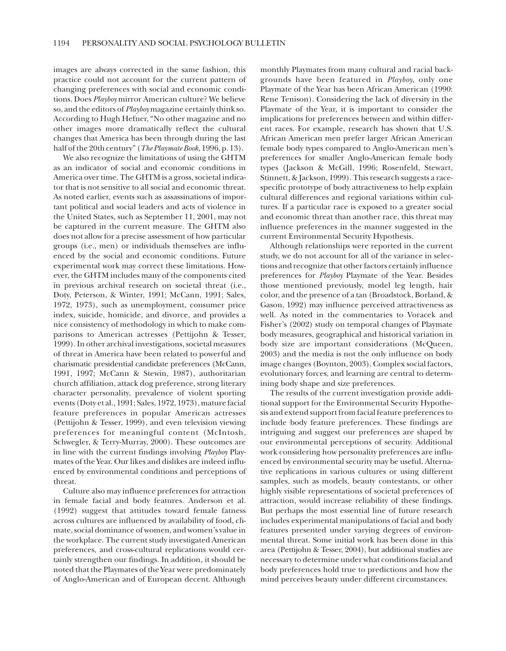images are always corrected in the same fashion, this practice could not account for the current pattern of changing preferences with social and economic conditions. Does *Playboy* mirror American culture? We believe so, and the editors of *Playboy* magazine certainly think so. According to Hugh Hefner, "No other magazine and no other images more dramatically reflect the cultural changes that America has been through during the last half of the 20th century" (*The Playmate Book*, 1996, p. 13).

We also recognize the limitations of using the GHTM as an indicator of social and economic conditions in America over time. The GHTM is a gross, societal indicator that is not sensitive to all social and economic threat. As noted earlier, events such as assassinations of important political and social leaders and acts of violence in the United States, such as September 11, 2001, may not be captured in the current measure. The GHTM also does not allow for a precise assessment of how particular groups (i.e., men) or individuals themselves are influenced by the social and economic conditions. Future experimental work may correct these limitations. However, the GHTM includes many of the components cited in previous archival research on societal threat (i.e., Doty, Peterson, & Winter, 1991; McCann, 1991; Sales, 1972, 1973), such as unemployment, consumer price index, suicide, homicide, and divorce, and provides a nice consistency of methodology in which to make comparisons to American actresses (Pettijohn & Tesser, 1999). In other archival investigations, societal measures of threat in America have been related to powerful and charismatic presidential candidate preferences (McCann, 1991, 1997; McCann & Stewin, 1987), authoritarian church affiliation, attack dog preference, strong literary character personality, prevalence of violent sporting events (Doty et al., 1991; Sales, 1972, 1973), mature facial feature preferences in popular American actresses (Pettijohn & Tesser, 1999), and even television viewing preferences for meaningful content (McIntosh, Schwegler, & Terry-Murray, 2000). These outcomes are in line with the current findings involving *Playboy* Playmates of the Year. Our likes and dislikes are indeed influenced by environmental conditions and perceptions of threat.

Culture also may influence preferences for attraction in female facial and body features. Anderson et al. (1992) suggest that attitudes toward female fatness across cultures are influenced by availability of food, climate, social dominance of women, and women's value in the workplace. The current study investigated American preferences, and cross-cultural replications would certainly strengthen our findings. In addition, it should be noted that the Playmates of the Year were predominately of Anglo-American and of European decent. Although

monthly Playmates from many cultural and racial backgrounds have been featured in *Playboy*, only one Playmate of the Year has been African American (1990: Rene Tenison). Considering the lack of diversity in the Playmate of the Year, it is important to consider the implications for preferences between and within different races. For example, research has shown that U.S. African American men prefer larger African American female body types compared to Anglo-American men's preferences for smaller Anglo-American female body types (Jackson & McGill, 1996; Rosenfeld, Stewart, Stinnett, & Jackson, 1999). This research suggests a racespecific prototype of body attractiveness to help explain cultural differences and regional variations within cultures. If a particular race is exposed to a greater social and economic threat than another race, this threat may influence preferences in the manner suggested in the current Environmental Security Hypothesis.

Although relationships were reported in the current study, we do not account for all of the variance in selections and recognize that other factors certainly influence preferences for *Playboy* Playmate of the Year. Besides those mentioned previously, model leg length, hair color, and the presence of a tan (Broadstock, Borland, & Gason, 1992) may influence perceived attractiveness as well. As noted in the commentaries to Voracek and Fisher's (2002) study on temporal changes of Playmate body measures, geographical and historical variation in body size are important considerations (McQueen, 2003) and the media is not the only influence on body image changes (Boynton, 2003). Complex social factors, evolutionary forces, and learning are central to determining body shape and size preferences.

The results of the current investigation provide additional support for the Environmental Security Hypothesis and extend support from facial feature preferences to include body feature preferences. These findings are intriguing and suggest our preferences are shaped by our environmental perceptions of security. Additional work considering how personality preferences are influenced by environmental security may be useful. Alternative replications in various cultures or using different samples, such as models, beauty contestants, or other highly visible representations of societal preferences of attraction, would increase reliability of these findings. But perhaps the most essential line of future research includes experimental manipulations of facial and body features presented under varying degrees of environmental threat. Some initial work has been done in this area (Pettijohn & Tesser, 2004), but additional studies are necessary to determine under what conditions facial and body preferences hold true to predictions and how the mind perceives beauty under different circumstances.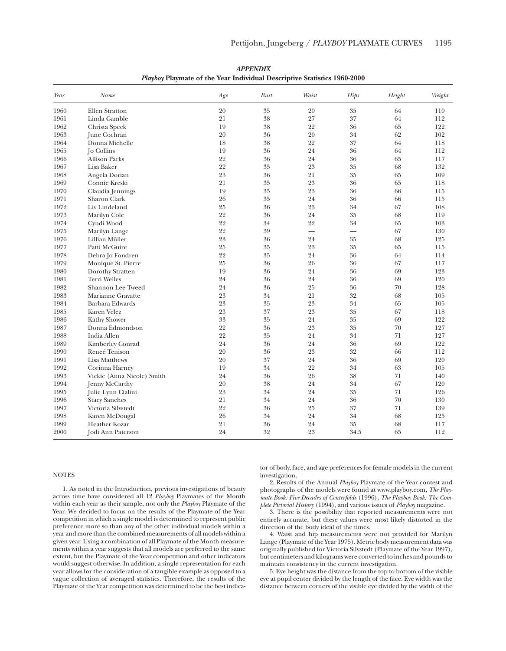| Year | Name                       | Age    | <b>Bust</b> | Waist    | Hips     | Height | Weight |
|------|----------------------------|--------|-------------|----------|----------|--------|--------|
| 1960 | Ellen Stratton             | 20     | 35          | 20       | 35       | 64     | 110    |
| 1961 | Linda Gamble               | 21     | 38          | 27       | 37       | 64     | 112    |
| 1962 | Christa Speck              | 19     | 38          | 22       | 36       | 65     | 122    |
| 1963 | June Cochran               | 20     | 36          | 20       | 34       | 62     | 102    |
| 1964 | Donna Michelle             | 18     | 38          | 22       | 37       | 64     | 118    |
| 1965 | <b>Jo Collins</b>          | 19     | 36          | 24       | 36       | 64     | 112    |
| 1966 | <b>Allison Parks</b>       | 22     | 36          | 24       | 36       | 65     | 117    |
| 1967 | Lisa Baker                 | 22     | 35          | 23       | 35       | 68     | 132    |
| 1968 | Angela Dorian              | 23     | 36          | 21       | 35       | 65     | 109    |
| 1969 | Connie Kreski              | 21     | 35          | 23       | 36       | 65     | 118    |
| 1970 | Claudia Jennings           | 19     | 35          | 23       | 36       | 66     | 115    |
| 1971 | Sharon Clark               | 26     | 35          | 24       | 36       | 66     | 115    |
| 1972 | Liv Lindeland              | 25     | 36          | 23       | 34       | 67     | 108    |
| 1973 | Marilyn Cole               | 22     | 36          | 24       | 35       | 68     | 119    |
| 1974 | Cyndi Wood                 | 22     | 34          | 22       | 34       | 65     | 103    |
| 1975 | Marilyn Lange              | 22     | 39          | $\equiv$ | $\equiv$ | 67     | 130    |
| 1976 | Lillian Müller             | $23\,$ | 36          | 24       | 35       | 68     | 125    |
| 1977 | Patti McGuire              | 25     | 35          | 23       | 35       | 65     | 115    |
| 1978 | Debra Jo Fondren           | 22     | 35          | 24       | 36       | 64     | 114    |
| 1979 | Monique St. Pierre         | 25     | 36          | 26       | 36       | 67     | 117    |
| 1980 | Dorothy Stratten           | 19     | 36          | 24       | 36       | 69     | 123    |
| 1981 | <b>Terri Welles</b>        | 24     | 36          | 24       | 36       | 69     | 120    |
| 1982 | Shannon Lee Tweed          | 24     | 36          | 25       | 36       | 70     | 128    |
| 1983 | Marianne Gravatte          | 23     | 34          | 21       | 32       | 68     | 105    |
| 1984 | Barbara Edwards            | 23     | 35          | 23       | 34       | 65     | 105    |
| 1985 | Karen Velez                | 23     | 37          | 23       | 35       | 67     | 118    |
| 1986 | Kathy Shower               | 33     | 35          | 24       | 35       | 69     | 122    |
| 1987 | Donna Edmondson            | 22     | 36          | 23       | 35       | 70     | 127    |
| 1988 | India Allen                | 22     | 35          | 24       | 34       | 71     | 127    |
| 1989 | <b>Kimberley Conrad</b>    | 24     | 36          | 24       | 36       | 69     | 122    |
| 1990 | Reneé Tenison              | 20     | 36          | 23       | 32       | 66     | 112    |
| 1991 | Lisa Matthews              | 20     | 37          | 24       | 36       | 69     | 120    |
| 1992 | Corinna Harney             | 19     | 34          | 22       | 34       | 63     | 105    |
| 1993 | Vickie (Anna Nicole) Smith | 24     | 36          | 26       | 38       | 71     | 140    |
| 1994 | Jenny McCarthy             | 20     | 38          | 24       | 34       | 67     | 120    |
| 1995 | Julie Lynn Cialini         | 23     | 34          | 24       | 35       | 71     | 126    |
| 1996 | <b>Stacy Sanches</b>       | 21     | 34          | 24       | 36       | 70     | 130    |
| 1997 | Victoria Silvstedt         | 22     | 36          | 25       | 37       | 71     | 139    |
| 1998 | Karen McDougal             | 26     | 34          | 24       | 34       | 68     | 125    |
| 1999 | Heather Kozar              | 21     | 36          | 24       | 35       | 68     | 117    |
| 2000 | Jodi Ann Paterson          | 24     | 32          | 23       | 34.5     | 65     | 112    |

*APPENDIX Playboy* **Playmate of the Year Individual Descriptive Statistics 1960-2000**

## **NOTES**

1. As noted in the Introduction, previous investigations of beauty across time have considered all 12 *Playboy* Playmates of the Month within each year as their sample, not only the *Playboy* Playmate of the Year. We decided to focus on the results of the Playmate of the Year competition in which a single model is determined to represent public preference more so than any of the other individual models within a year and more than the combined measurements of all models within a given year. Using a combination of all Playmate of the Month measurements within a year suggests that all models are preferred to the same extent, but the Playmate of the Year competition and other indicators would suggest otherwise. In addition, a single representation for each year allows for the consideration of a tangible example as opposed to a vague collection of averaged statistics. Therefore, the results of the Playmate of the Year competition was determined to be the best indicator of body, face, and age preferences for female models in the current investigation.

2. Results of the Annual *Playboy* Playmate of the Year contest and photographs of the models were found at www.playboy.com, *The Playmate Book: Five Decades of Centerfolds* (1996), *The Playboy Book: The Complete Pictorial History* (1994), and various issues of *Playboy* magazine.

3. There is the possibility that reported measurements were not entirely accurate, but these values were most likely distorted in the direction of the body ideal of the times.

4. Waist and hip measurements were not provided for Marilyn Lange (Playmate of the Year 1975). Metric body measurement data was originally published for Victoria Silvstedt (Playmate of the Year 1997), but centimeters and kilograms were converted to inches and pounds to maintain consistency in the current investigation.

5. Eye height was the distance from the top to bottom of the visible eye at pupil center divided by the length of the face. Eye width was the distance between corners of the visible eye divided by the width of the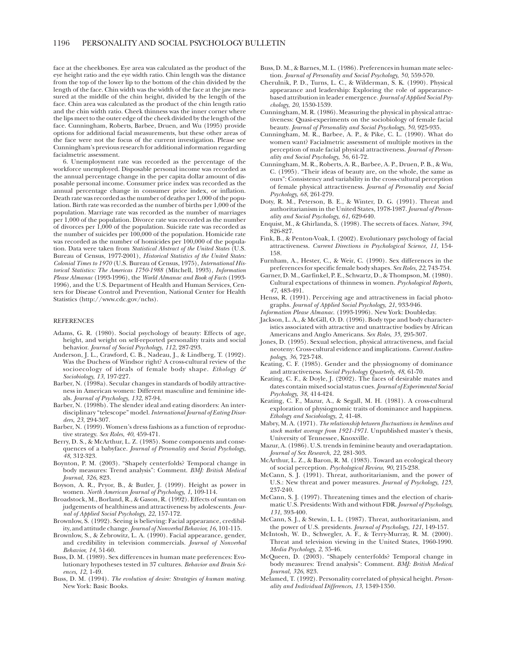face at the cheekbones. Eye area was calculated as the product of the eye height ratio and the eye width ratio. Chin length was the distance from the top of the lower lip to the bottom of the chin divided by the length of the face. Chin width was the width of the face at the jaw measured at the middle of the chin height, divided by the length of the face. Chin area was calculated as the product of the chin length ratio and the chin width ratio. Cheek thinness was the inner corner where the lips meet to the outer edge of the cheek divided by the length of the face. Cunningham, Roberts, Barbee, Druen, and Wu (1995) provide options for additional facial measurements, but these other areas of the face were not the focus of the current investigation. Please see Cunningham's previous research for additional information regarding facialmetric assessment.

6. Unemployment rate was recorded as the percentage of the workforce unemployed. Disposable personal income was recorded as the annual percentage change in the per capita dollar amount of disposable personal income. Consumer price index was recorded as the annual percentage change in consumer price index, or inflation. Death rate was recorded as the number of deaths per 1,000 of the population. Birth rate was recorded as the number of births per 1,000 of the population. Marriage rate was recorded as the number of marriages per 1,000 of the population. Divorce rate was recorded as the number of divorces per 1,000 of the population. Suicide rate was recorded as the number of suicides per 100,000 of the population. Homicide rate was recorded as the number of homicides per 100,000 of the population. Data were taken from *Statistical Abstract of the United States* (U.S. Bureau of Census, 1977-2001), *Historical Statistics of the United States: Colonial Times to 1970* (U.S. Bureau of Census, 1975), *International Historical Statistics: The Americas 1750-1988* (Mitchell, 1993), *Information Please Almanac* (1993-1996), the *World Almanac and Book of Facts* (1993- 1996), and the U.S. Department of Health and Human Services, Centers for Disease Control and Prevention, National Center for Health Statistics (http://www.cdc.gov/nchs).

## REFERENCES

- Adams, G. R. (1980). Social psychology of beauty: Effects of age, height, and weight on self-reported personality traits and social behavior. *Journal of Social Psychology*, *112*, 287-293.
- Anderson, J. L., Crawford, C. B., Nadeau, J., & Lindberg, T. (1992). Was the Duchess of Windsor right? A cross-cultural review of the socioecology of ideals of female body shape. *Ethology & Sociobiology*, *13*, 197-227.
- Barber, N. (1998a). Secular changes in standards of bodily attractiveness in American women: Different masculine and feminine ideals. *Journal of Psychology*, *132*, 87-94.
- Barber, N. (1998b). The slender ideal and eating disorders: An interdisciplinary "telescope" model. *International Journal of Eating Disorders*, *23*, 294-307.
- Barber, N. (1999). Women's dress fashions as a function of reproductive strategy. *Sex Roles*, *40*, 459-471.
- Berry, D. S., & McArthur, L. Z. (1985). Some components and consequences of a babyface. *Journal of Personality and Social Psychology*, *48*, 312-323.
- Boynton, P. M. (2003). "Shapely centerfolds? Temporal change in body measures: Trend analysis": Comment. *BMJ: British Medical Journal*, *326*, 823.
- Boyson, A. R., Pryor, B., & Butler, J. (1999). Height as power in women. *North American Journal of Psychology*, *1*, 109-114.
- Broadstock, M., Borland, R., & Gason, R. (1992). Effects of suntan on judgements of healthiness and attractiveness by adolescents. *Journal of Applied Social Psychology*, *22*, 157-172.
- Brownlow, S. (1992). Seeing is believing: Facial appearance, credibility, and attitude change. *Journal of Nonverbal Behavior*, *16*, 101-115.
- Brownlow, S., & Zebrowitz, L. A. (1990). Facial appearance, gender, and credibility in television commercials. *Journal of Nonverbal Behavior*, *14*, 51-60.
- Buss, D. M. (1989). Sex differences in human mate preferences: Evolutionary hypotheses tested in 37 cultures. *Behavior and Brain Sciences*, *12*, 1-49.
- Buss, D. M. (1994). *The evolution of desire: Strategies of human mating*. New York: Basic Books.
- Buss, D. M., & Barnes, M. L. (1986). Preferences in human mate selection. *Journal of Personality and Social Psychology*, *50*, 559-570.
- Cherulnik, P. D., Turns, L. C., & Wilderman, S. K. (1990). Physical appearance and leadership: Exploring the role of appearancebased attribution in leader emergence. *Journal of Applied Social Psychology*, *20*, 1530-1539.
- Cunningham, M. R. (1986). Measuring the physical in physical attractiveness: Quasi-experiments on the sociobiology of female facial beauty. *Journal of Personality and Social Psychology*, *50*, 925-935.
- Cunningham, M. R., Barbee, A. P., & Pike, C. L. (1990). What do women want? Facialmetric assessment of multiple motives in the perception of male facial physical attractiveness. *Journal of Personality and Social Psychology*, *56*, 61-72.
- Cunningham, M. R., Roberts, A. R., Barbee, A. P., Druen, P. B., & Wu, C. (1995). "Their ideas of beauty are, on the whole, the same as ours": Consistency and variability in the cross-cultural perception of female physical attractiveness. *Journal of Personality and Social Psychology*, *68*, 261-279.
- Doty, R. M., Peterson, B. E., & Winter, D. G. (1991). Threat and authoritarianism in the United States, 1978-1987. *Journal of Personality and Social Psychology*, *61*, 629-640.
- Enquist, M., & Ghirlanda, S. (1998). The secrets of faces. *Nature*, *394*, 826-827.
- Fink, B., & Penton-Voak, I. (2002). Evolutionary psychology of facial attractiveness. *Current Directions in Psychological Science*, *11*, 154- 158.
- Furnham, A., Hester, C., & Weir, C. (1990). Sex differences in the preferences for specific female body shapes. *Sex Roles*, *22*, 743-754.
- Garner, D. M., Garfinkel, P. E., Schwartz, D., & Thompson, M. (1980). Cultural expectations of thinness in women. *Psychological Reports*, *47*, 483-491.
- Henss, R. (1991). Perceiving age and attractiveness in facial photographs. *Journal of Applied Social Psychology*, *21*, 933-946.
- *Information Please Almanac*. (1993-1996). New York: Doubleday.
- Jackson, L. A., & McGill, O. D. (1996). Body type and body characteristics associated with attractive and unattractive bodies by African Americans and Anglo Americans. *Sex Roles*, *35*, 295-307.
- Jones, D. (1995). Sexual selection, physical attractiveness, and facial neoteny: Cross-cultural evidence and implications. *Current Anthropology*, *36*, 723-748.
- Keating, C. F. (1985). Gender and the physiognomy of dominance and attractiveness. *Social Psychology Quarterly*, *48*, 61-70.
- Keating, C. F., & Doyle, J. (2002). The faces of desirable mates and dates contain mixed social status cues. *Journal of Experimental Social Psychology*, *38*, 414-424.
- Keating, C. F., Mazur, A., & Segall, M. H. (1981). A cross-cultural exploration of physiognomic traits of dominance and happiness. *Ethology and Sociobiology*, *2*, 41-48.
- Mabry, M. A. (1971). *The relationship between fluctuations in hemlines and stock market average from 1921-1971*. Unpublished master's thesis, University of Tennessee, Knoxville.
- Mazur, A. (1986). U.S. trends in feminine beauty and overadaptation. *Journal of Sex Research*, *22*, 281-303.
- McArthur, L. Z., & Baron, R. M. (1983). Toward an ecological theory of social perception. *Psychological Review*, *90*, 215-238.
- McCann, S. J. (1991). Threat, authoritarianism, and the power of U.S.: New threat and power measures. *Journal of Psychology*, *125*, 237-240.
- McCann, S. J. (1997). Threatening times and the election of charismatic U.S. Presidents: With and without FDR. *Journal of Psychology*, *131*, 393-400.
- McCann, S. J., & Stewin, L. L. (1987). Threat, authoritarianism, and the power of U.S. presidents. *Journal of Psychology*, *121*, 149-157.
- McIntosh, W. D., Schwegler, A. F., & Terry-Murray, R. M. (2000). Threat and television viewing in the United States, 1960-1990. *Media Psychology*, *2*, 35-46.
- McQueen, D. (2003). "Shapely centerfolds? Temporal change in body measures: Trend analysis": Comment. *BMJ: British Medical Journal*, *326*, 823.
- Melamed, T. (1992). Personality correlated of physical height. *Personality and Individual Differences*, *13*, 1349-1350.